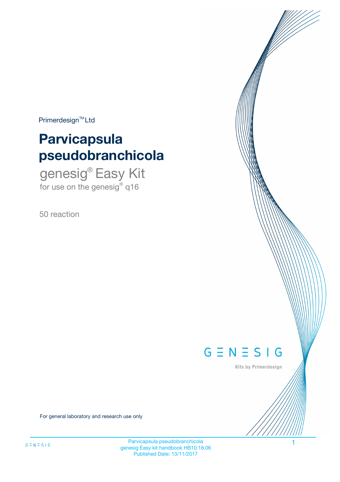$Primerdesign^{\text{TM}}Ltd$ 

# **Parvicapsula pseudobranchicola**

genesig® Easy Kit for use on the genesig® q16

50 reaction



Kits by Primerdesign

For general laboratory and research use only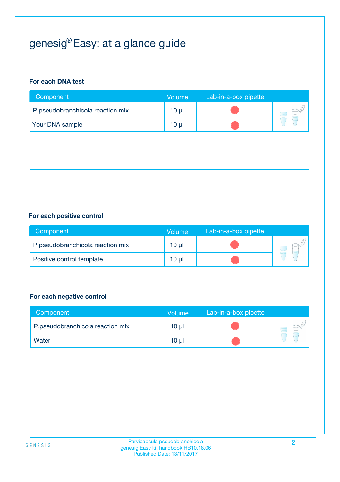# genesig® Easy: at a glance guide

## **For each DNA test**

| Component                        | <b>Volume</b> | Lab-in-a-box pipette |  |
|----------------------------------|---------------|----------------------|--|
| P.pseudobranchicola reaction mix | 10 µl         |                      |  |
| <b>Your DNA sample</b>           | 10 µl         |                      |  |

## **For each positive control**

| Component                        | Volume          | Lab-in-a-box pipette |  |
|----------------------------------|-----------------|----------------------|--|
| P.pseudobranchicola reaction mix | 10 <sub>µ</sub> |                      |  |
| Positive control template        | $10 \mu$        |                      |  |

## **For each negative control**

| Component                        | Volume          | Lab-in-a-box pipette |  |
|----------------------------------|-----------------|----------------------|--|
| P.pseudobranchicola reaction mix | 10 <sub>µ</sub> |                      |  |
| <b>Water</b>                     | 10 <sub>µ</sub> |                      |  |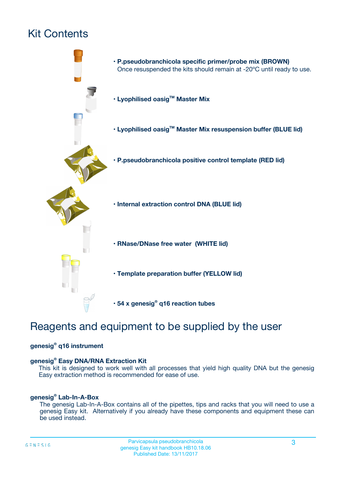# Kit Contents



# Reagents and equipment to be supplied by the user

## **genesig® q16 instrument**

## **genesig® Easy DNA/RNA Extraction Kit**

This kit is designed to work well with all processes that yield high quality DNA but the genesig Easy extraction method is recommended for ease of use.

### **genesig® Lab-In-A-Box**

The genesig Lab-In-A-Box contains all of the pipettes, tips and racks that you will need to use a genesig Easy kit. Alternatively if you already have these components and equipment these can be used instead.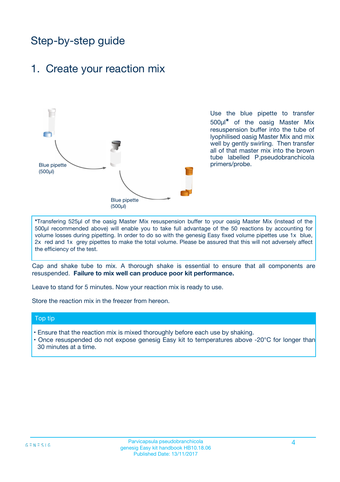# Step-by-step guide

## 1. Create your reaction mix



Use the blue pipette to transfer 500µl**\*** of the oasig Master Mix resuspension buffer into the tube of lyophilised oasig Master Mix and mix well by gently swirling. Then transfer all of that master mix into the brown tube labelled P.pseudobranchicola primers/probe.

**\***Transfering 525µl of the oasig Master Mix resuspension buffer to your oasig Master Mix (instead of the 500µl recommended above) will enable you to take full advantage of the 50 reactions by accounting for volume losses during pipetting. In order to do so with the genesig Easy fixed volume pipettes use 1x blue, 2x red and 1x grey pipettes to make the total volume. Please be assured that this will not adversely affect the efficiency of the test.

Cap and shake tube to mix. A thorough shake is essential to ensure that all components are resuspended. **Failure to mix well can produce poor kit performance.**

Leave to stand for 5 minutes. Now your reaction mix is ready to use.

Store the reaction mix in the freezer from hereon.

### Top tip

- Ensure that the reaction mix is mixed thoroughly before each use by shaking.
- Once resuspended do not expose genesig Easy kit to temperatures above -20°C for longer than 30 minutes at a time.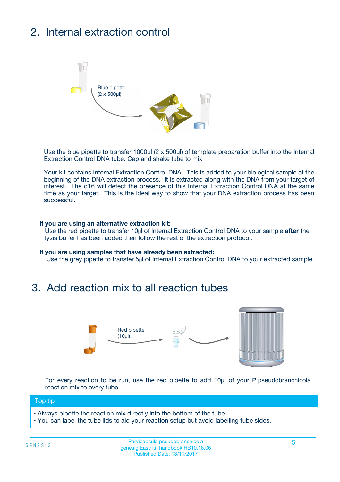# 2. Internal extraction control



Use the blue pipette to transfer 1000µl (2 x 500µl) of template preparation buffer into the Internal Extraction Control DNA tube. Cap and shake tube to mix.

Your kit contains Internal Extraction Control DNA. This is added to your biological sample at the beginning of the DNA extraction process. It is extracted along with the DNA from your target of interest. The q16 will detect the presence of this Internal Extraction Control DNA at the same time as your target. This is the ideal way to show that your DNA extraction process has been successful.

### **If you are using an alternative extraction kit:**

Use the red pipette to transfer 10µl of Internal Extraction Control DNA to your sample **after** the lysis buffer has been added then follow the rest of the extraction protocol.

#### **If you are using samples that have already been extracted:**

Use the grey pipette to transfer 5µl of Internal Extraction Control DNA to your extracted sample.

## 3. Add reaction mix to all reaction tubes



For every reaction to be run, use the red pipette to add 10µl of your P.pseudobranchicola reaction mix to every tube.

## Top tip

- Always pipette the reaction mix directly into the bottom of the tube.
- You can label the tube lids to aid your reaction setup but avoid labelling tube sides.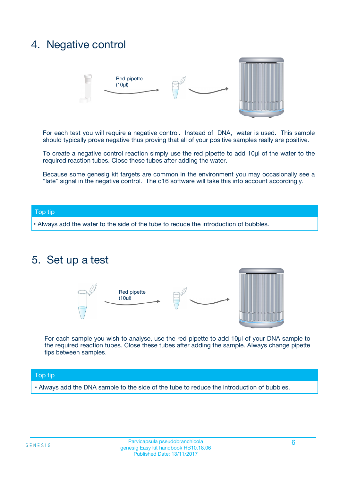## 4. Negative control



For each test you will require a negative control. Instead of DNA, water is used. This sample should typically prove negative thus proving that all of your positive samples really are positive.

To create a negative control reaction simply use the red pipette to add 10µl of the water to the required reaction tubes. Close these tubes after adding the water.

Because some genesig kit targets are common in the environment you may occasionally see a "late" signal in the negative control. The q16 software will take this into account accordingly.

### Top tip

**•** Always add the water to the side of the tube to reduce the introduction of bubbles.

## 5. Set up a test



For each sample you wish to analyse, use the red pipette to add 10µl of your DNA sample to the required reaction tubes. Close these tubes after adding the sample. Always change pipette tips between samples.

### Top tip

**•** Always add the DNA sample to the side of the tube to reduce the introduction of bubbles.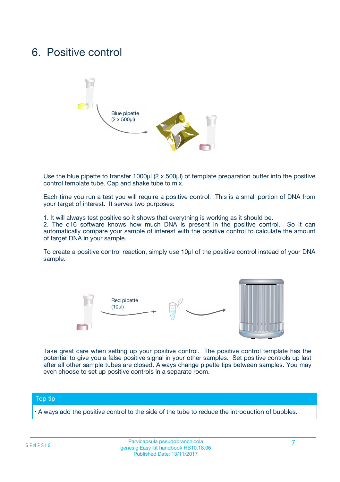# 6. Positive control



Use the blue pipette to transfer 1000µl (2 x 500µl) of template preparation buffer into the positive control template tube. Cap and shake tube to mix.

Each time you run a test you will require a positive control. This is a small portion of DNA from your target of interest. It serves two purposes:

1. It will always test positive so it shows that everything is working as it should be.

2. The q16 software knows how much DNA is present in the positive control. So it can automatically compare your sample of interest with the positive control to calculate the amount of target DNA in your sample.

To create a positive control reaction, simply use 10µl of the positive control instead of your DNA sample.



Take great care when setting up your positive control. The positive control template has the potential to give you a false positive signal in your other samples. Set positive controls up last after all other sample tubes are closed. Always change pipette tips between samples. You may even choose to set up positive controls in a separate room.

### Top tip

**•** Always add the positive control to the side of the tube to reduce the introduction of bubbles.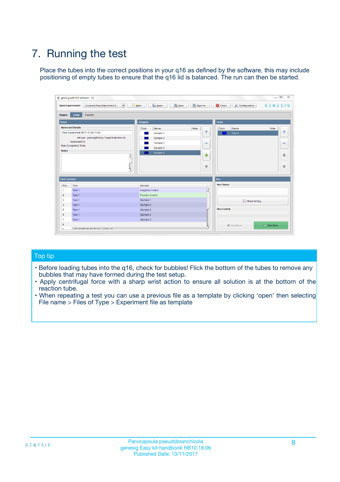# 7. Running the test

Place the tubes into the correct positions in your q16 as defined by the software, this may include positioning of empty tubes to ensure that the q16 lid is balanced. The run can then be started.

| genesig q16 PCR software - 1.2                        |                                                         | $\Box$                                                                                      |
|-------------------------------------------------------|---------------------------------------------------------|---------------------------------------------------------------------------------------------|
| <b>Open Experiments:</b><br>Unsaved (New Experiment 2 | <b>B</b> Open<br>$\Box$ New<br>$\overline{\phantom{a}}$ | Save<br>Save As<br>$G \equiv N \equiv S \mid G$<br><b>C</b> Close<br><b>X</b> Configuration |
| <b>Setup</b><br><b>Results</b><br><b>Stages:</b>      |                                                         |                                                                                             |
| <b>Notes</b>                                          | <b>Samples</b>                                          | <b>Tests</b>                                                                                |
| <b>Name and Details</b>                               | Color<br>Name                                           | Note<br>Note<br>Color<br>Name                                                               |
| New Experiment 2017-10-26 11:06                       | Sample 1                                                | $-$<br>条<br>Test 1                                                                          |
| Kit type: genesig® Easy Target Detection kit          | Sample 2                                                |                                                                                             |
| Instrument Id.:                                       | Sample 3                                                | $\qquad \qquad \blacksquare$<br>$\qquad \qquad \blacksquare$                                |
| <b>Run Completion Time:</b><br><b>Notes</b>           | Sample 4                                                |                                                                                             |
|                                                       | Sample 5<br>$\blacktriangle$                            | $\triangle$<br>♠<br>⊕<br>⊕                                                                  |
| <b>Well Contents</b>                                  | $\overline{\mathbf{v}}$                                 | Run                                                                                         |
| Pos.<br>Test                                          | Sample                                                  | <b>Run Status</b>                                                                           |
| Test <sub>1</sub><br>$\overline{1}$                   | <b>Negative Control</b>                                 | A                                                                                           |
| $\overline{2}$<br>Test 1                              | Positive Control                                        |                                                                                             |
| $\overline{\mathbf{3}}$<br>Test 1                     | Sample 1                                                | Show full log                                                                               |
| Test 1<br>$\overline{4}$                              | Sample 2                                                |                                                                                             |
| 5<br>Test 1                                           | Sample 3                                                | <b>Run Control</b>                                                                          |
| 6<br>Test 1                                           | Sample 4                                                |                                                                                             |
| $\overline{7}$<br>Test 1                              | Sample 5                                                |                                                                                             |
| 8                                                     |                                                         | $\triangleright$ Start Run<br>Abort Run                                                     |
|                                                       | <b>JOD FURTY TUDE TO BUILDED IN</b>                     | v                                                                                           |

## Top tip

- Before loading tubes into the q16, check for bubbles! Flick the bottom of the tubes to remove any bubbles that may have formed during the test setup.
- Apply centrifugal force with a sharp wrist action to ensure all solution is at the bottom of the reaction tube.
- When repeating a test you can use a previous file as a template by clicking 'open' then selecting File name > Files of Type > Experiment file as template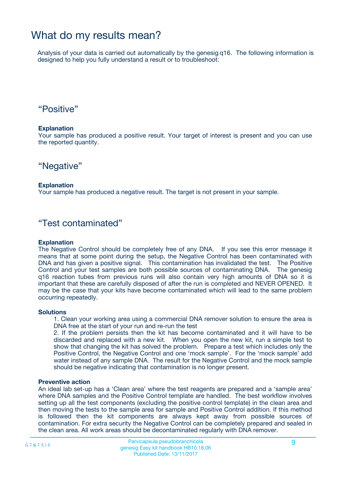## What do my results mean?

Analysis of your data is carried out automatically by the genesig q16. The following information is designed to help you fully understand a result or to troubleshoot:

## "Positive"

### **Explanation**

Your sample has produced a positive result. Your target of interest is present and you can use the reported quantity.

## "Negative"

### **Explanation**

Your sample has produced a negative result. The target is not present in your sample.

## "Test contaminated"

### **Explanation**

The Negative Control should be completely free of any DNA. If you see this error message it means that at some point during the setup, the Negative Control has been contaminated with DNA and has given a positive signal. This contamination has invalidated the test. The Positive Control and your test samples are both possible sources of contaminating DNA. The genesig q16 reaction tubes from previous runs will also contain very high amounts of DNA so it is important that these are carefully disposed of after the run is completed and NEVER OPENED. It may be the case that your kits have become contaminated which will lead to the same problem occurring repeatedly.

### **Solutions**

1. Clean your working area using a commercial DNA remover solution to ensure the area is DNA free at the start of your run and re-run the test

2. If the problem persists then the kit has become contaminated and it will have to be discarded and replaced with a new kit. When you open the new kit, run a simple test to show that changing the kit has solved the problem. Prepare a test which includes only the Positive Control, the Negative Control and one 'mock sample'. For the 'mock sample' add water instead of any sample DNA. The result for the Negative Control and the mock sample should be negative indicating that contamination is no longer present.

### **Preventive action**

An ideal lab set-up has a 'Clean area' where the test reagents are prepared and a 'sample area' where DNA samples and the Positive Control template are handled. The best workflow involves setting up all the test components (excluding the positive control template) in the clean area and then moving the tests to the sample area for sample and Positive Control addition. If this method is followed then the kit components are always kept away from possible sources of contamination. For extra security the Negative Control can be completely prepared and sealed in the clean area. All work areas should be decontaminated regularly with DNA remover.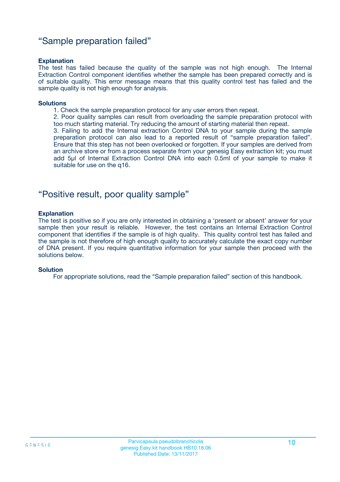## "Sample preparation failed"

### **Explanation**

The test has failed because the quality of the sample was not high enough. The Internal Extraction Control component identifies whether the sample has been prepared correctly and is of suitable quality. This error message means that this quality control test has failed and the sample quality is not high enough for analysis.

#### **Solutions**

1. Check the sample preparation protocol for any user errors then repeat.

2. Poor quality samples can result from overloading the sample preparation protocol with too much starting material. Try reducing the amount of starting material then repeat.

3. Failing to add the Internal extraction Control DNA to your sample during the sample preparation protocol can also lead to a reported result of "sample preparation failed". Ensure that this step has not been overlooked or forgotten. If your samples are derived from an archive store or from a process separate from your genesig Easy extraction kit; you must add 5µl of Internal Extraction Control DNA into each 0.5ml of your sample to make it suitable for use on the q16.

## "Positive result, poor quality sample"

### **Explanation**

The test is positive so if you are only interested in obtaining a 'present or absent' answer for your sample then your result is reliable. However, the test contains an Internal Extraction Control component that identifies if the sample is of high quality. This quality control test has failed and the sample is not therefore of high enough quality to accurately calculate the exact copy number of DNA present. If you require quantitative information for your sample then proceed with the solutions below.

### **Solution**

For appropriate solutions, read the "Sample preparation failed" section of this handbook.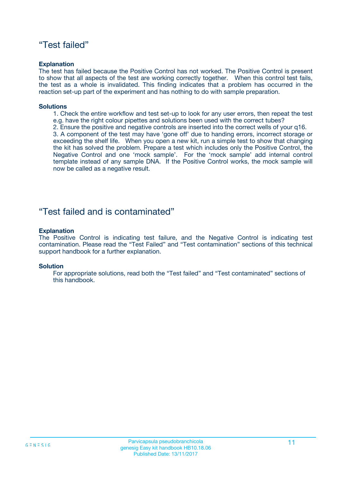## "Test failed"

## **Explanation**

The test has failed because the Positive Control has not worked. The Positive Control is present to show that all aspects of the test are working correctly together. When this control test fails, the test as a whole is invalidated. This finding indicates that a problem has occurred in the reaction set-up part of the experiment and has nothing to do with sample preparation.

### **Solutions**

- 1. Check the entire workflow and test set-up to look for any user errors, then repeat the test e.g. have the right colour pipettes and solutions been used with the correct tubes?
- 2. Ensure the positive and negative controls are inserted into the correct wells of your q16.

3. A component of the test may have 'gone off' due to handing errors, incorrect storage or exceeding the shelf life. When you open a new kit, run a simple test to show that changing the kit has solved the problem. Prepare a test which includes only the Positive Control, the Negative Control and one 'mock sample'. For the 'mock sample' add internal control template instead of any sample DNA. If the Positive Control works, the mock sample will now be called as a negative result.

## "Test failed and is contaminated"

### **Explanation**

The Positive Control is indicating test failure, and the Negative Control is indicating test contamination. Please read the "Test Failed" and "Test contamination" sections of this technical support handbook for a further explanation.

### **Solution**

For appropriate solutions, read both the "Test failed" and "Test contaminated" sections of this handbook.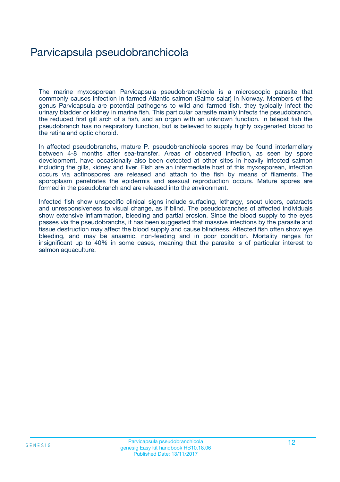# Parvicapsula pseudobranchicola

The marine myxosporean Parvicapsula pseudobranchicola is a microscopic parasite that commonly causes infection in farmed Atlantic salmon (Salmo salar) in Norway. Members of the genus Parvicapsula are potential pathogens to wild and farmed fish, they typically infect the urinary bladder or kidney in marine fish. This particular parasite mainly infects the pseudobranch, the reduced first gill arch of a fish, and an organ with an unknown function. In teleost fish the pseudobranch has no respiratory function, but is believed to supply highly oxygenated blood to the retina and optic choroid.

In affected pseudobranchs, mature P. pseudobranchicola spores may be found interlamellary between 4-8 months after sea-transfer. Areas of observed infection, as seen by spore development, have occasionally also been detected at other sites in heavily infected salmon including the gills, kidney and liver. Fish are an intermediate host of this myxosporean, infection occurs via actinospores are released and attach to the fish by means of filaments. The sporoplasm penetrates the epidermis and asexual reproduction occurs. Mature spores are formed in the pseudobranch and are released into the environment.

Infected fish show unspecific clinical signs include surfacing, lethargy, snout ulcers, cataracts and unresponsiveness to visual change, as if blind. The pseudobranches of affected individuals show extensive inflammation, bleeding and partial erosion. Since the blood supply to the eyes passes via the pseudobranchs, it has been suggested that massive infections by the parasite and tissue destruction may affect the blood supply and cause blindness. Affected fish often show eye bleeding, and may be anaemic, non-feeding and in poor condition. Mortality ranges for insignificant up to 40% in some cases, meaning that the parasite is of particular interest to salmon aquaculture.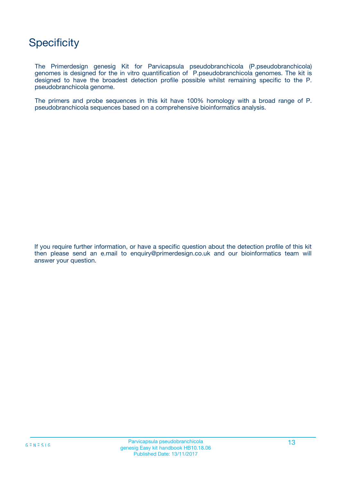## **Specificity**

The Primerdesign genesig Kit for Parvicapsula pseudobranchicola (P.pseudobranchicola) genomes is designed for the in vitro quantification of P.pseudobranchicola genomes. The kit is designed to have the broadest detection profile possible whilst remaining specific to the P. pseudobranchicola genome.

The primers and probe sequences in this kit have 100% homology with a broad range of P. pseudobranchicola sequences based on a comprehensive bioinformatics analysis.

If you require further information, or have a specific question about the detection profile of this kit then please send an e.mail to enquiry@primerdesign.co.uk and our bioinformatics team will answer your question.